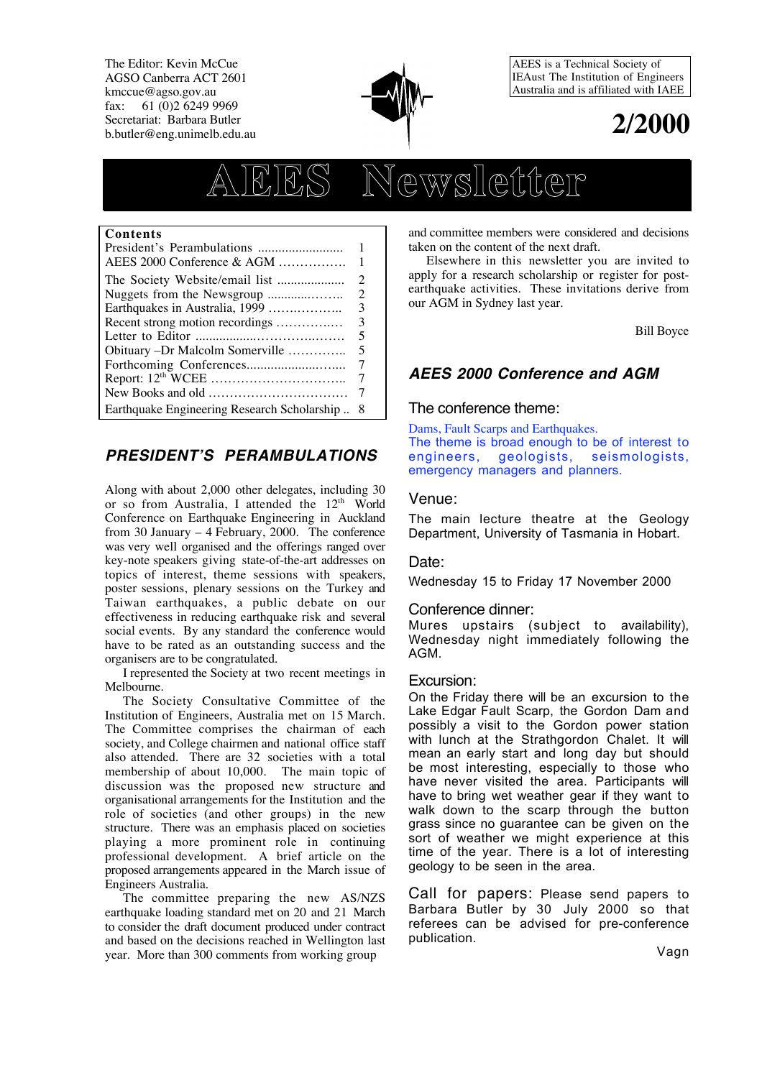The Editor: Kevin McCue AGSO Canberra ACT 2601 kmccue@agso.gov.au fax: 61 (0)2 6249 9969 Secretariat: Barbara Butler b.butler@eng.unimelb.edu.au



AEES is a Technical Society of IEAust The Institution of Engineers Australia and is affiliated with IAEE



# **AEES Newsletter**

#### **Contents**

| AEES 2000 Conference & AGM                  | 1  |
|---------------------------------------------|----|
|                                             | 2  |
|                                             | 2  |
| Earthquakes in Australia, 1999              | 3  |
| Recent strong motion recordings             | 3  |
|                                             | 5  |
| Obituary -Dr Malcolm Somerville             | 5  |
|                                             |    |
|                                             |    |
|                                             |    |
| Earthquake Engineering Research Scholarship | -8 |

# **PRESIDENT'S PERAMBULATIONS**

Along with about 2,000 other delegates, including 30 or so from Australia, I attended the 12<sup>th</sup> World Conference on Earthquake Engineering in Auckland from 30 January – 4 February, 2000. The conference was very well organised and the offerings ranged over key-note speakers giving state-of-the-art addresses on topics of interest, theme sessions with speakers, poster sessions, plenary sessions on the Turkey and Taiwan earthquakes, a public debate on our effectiveness in reducing earthquake risk and several social events. By any standard the conference would have to be rated as an outstanding success and the organisers are to be congratulated.

I represented the Society at two recent meetings in Melbourne.

The Society Consultative Committee of the Institution of Engineers, Australia met on 15 March. The Committee comprises the chairman of each society, and College chairmen and national office staff also attended. There are 32 societies with a total membership of about 10,000. The main topic of discussion was the proposed new structure and organisational arrangements for the Institution and the role of societies (and other groups) in the new structure. There was an emphasis placed on societies playing a more prominent role in continuing professional development. A brief article on the proposed arrangements appeared in the March issue of Engineers Australia.

The committee preparing the new AS/NZS earthquake loading standard met on 20 and 21 March to consider the draft document produced under contract and based on the decisions reached in Wellington last year. More than 300 comments from working group

and committee members were considered and decisions taken on the content of the next draft.

Elsewhere in this newsletter you are invited to apply for a research scholarship or register for postearthquake activities. These invitations derive from our AGM in Sydney last year.

Bill Boyce

# **AEES 2000 Conference and AGM**

### The conference theme:

Dams, Fault Scarps and Earthquakes. The theme is broad enough to be of interest to engineers, geologists, seismologists, emergency managers and planners.

#### Venue:

The main lecture theatre at the Geology Department, University of Tasmania in Hobart.

#### Date:

Wednesday 15 to Friday 17 November 2000

#### Conference dinner:

Mures upstairs (subject to availability), Wednesday night immediately following the AGM.

#### Excursion:

On the Friday there will be an excursion to the Lake Edgar Fault Scarp, the Gordon Dam and possibly a visit to the Gordon power station with lunch at the Strathgordon Chalet. It will mean an early start and long day but should be most interesting, especially to those who have never visited the area. Participants will have to bring wet weather gear if they want to walk down to the scarp through the button grass since no guarantee can be given on the sort of weather we might experience at this time of the year. There is a lot of interesting geology to be seen in the area.

Call for papers: Please send papers to Barbara Butler by 30 July 2000 so that referees can be advised for pre-conference publication.

Vagn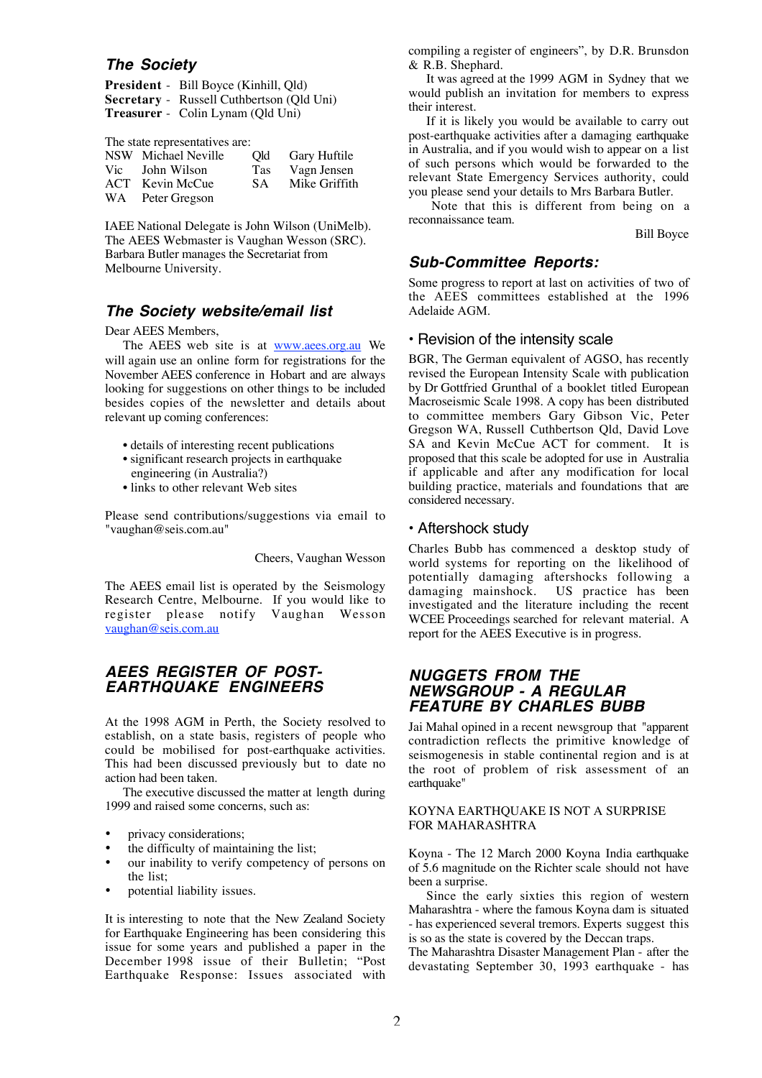## **The Society**

| <b>President</b> - Bill Boyce (Kinhill, Qld) |
|----------------------------------------------|
| Secretary - Russell Cuthbertson (Qld Uni)    |
| <b>Treasurer</b> - Colin Lynam (Qld Uni)     |

The state representatives are:

| NSW Michael Neville | Old | Gary Huftile  |
|---------------------|-----|---------------|
| Vic John Wilson     | Tas | Vagn Jensen   |
| ACT Kevin McCue     | SA. | Mike Griffith |
| WA Peter Gregson    |     |               |

IAEE National Delegate is John Wilson (UniMelb). The AEES Webmaster is Vaughan Wesson (SRC). Barbara Butler manages the Secretariat from Melbourne University.

## **The Society website/email list**

Dear AEES Members,

The AEES web site is at www.aees.org.au We will again use an online form for registrations for the November AEES conference in Hobart and are always looking for suggestions on other things to be included besides copies of the newsletter and details about relevant up coming conferences:

- details of interesting recent publications
- significant research projects in earthquake engineering (in Australia?)
- links to other relevant Web sites

Please send contributions/suggestions via email to "vaughan@seis.com.au"

Cheers, Vaughan Wesson

The AEES email list is operated by the Seismology Research Centre, Melbourne. If you would like to register please notify Vaughan Wesson vaughan@seis.com.au

## **AEES REGISTER OF POST-EARTHQUAKE ENGINEERS**

At the 1998 AGM in Perth, the Society resolved to establish, on a state basis, registers of people who could be mobilised for post-earthquake activities. This had been discussed previously but to date no action had been taken.

The executive discussed the matter at length during 1999 and raised some concerns, such as:

- privacy considerations;
- the difficulty of maintaining the list:
- our inability to verify competency of persons on the list;
- potential liability issues.

It is interesting to note that the New Zealand Society for Earthquake Engineering has been considering this issue for some years and published a paper in the December 1998 issue of their Bulletin; "Post Earthquake Response: Issues associated with compiling a register of engineers", by D.R. Brunsdon & R.B. Shephard.

It was agreed at the 1999 AGM in Sydney that we would publish an invitation for members to express their interest.

If it is likely you would be available to carry out post-earthquake activities after a damaging earthquake in Australia, and if you would wish to appear on a list of such persons which would be forwarded to the relevant State Emergency Services authority, could you please send your details to Mrs Barbara Butler.

Note that this is different from being on a reconnaissance team.

Bill Boyce

## **Sub-Committee Reports:**

Some progress to report at last on activities of two of the AEES committees established at the 1996 Adelaide AGM.

#### • Revision of the intensity scale

BGR, The German equivalent of AGSO, has recently revised the European Intensity Scale with publication by Dr Gottfried Grunthal of a booklet titled European Macroseismic Scale 1998. A copy has been distributed to committee members Gary Gibson Vic, Peter Gregson WA, Russell Cuthbertson Qld, David Love SA and Kevin McCue ACT for comment. It is proposed that this scale be adopted for use in Australia if applicable and after any modification for local building practice, materials and foundations that are considered necessary.

#### • Aftershock study

Charles Bubb has commenced a desktop study of world systems for reporting on the likelihood of potentially damaging aftershocks following a US practice has been investigated and the literature including the recent WCEE Proceedings searched for relevant material. A report for the AEES Executive is in progress.

## **NUGGETS FROM THE NEWSGROUP - A REGULAR FEATURE BY CHARLES BUBB**

Jai Mahal opined in a recent newsgroup that "apparent contradiction reflects the primitive knowledge of seismogenesis in stable continental region and is at the root of problem of risk assessment of an earthquake"

#### KOYNA EARTHQUAKE IS NOT A SURPRISE FOR MAHARASHTRA

Koyna - The 12 March 2000 Koyna India earthquake of 5.6 magnitude on the Richter scale should not have been a surprise.

Since the early sixties this region of western Maharashtra - where the famous Koyna dam is situated - has experienced several tremors. Experts suggest this is so as the state is covered by the Deccan traps.

The Maharashtra Disaster Management Plan - after the devastating September 30, 1993 earthquake - has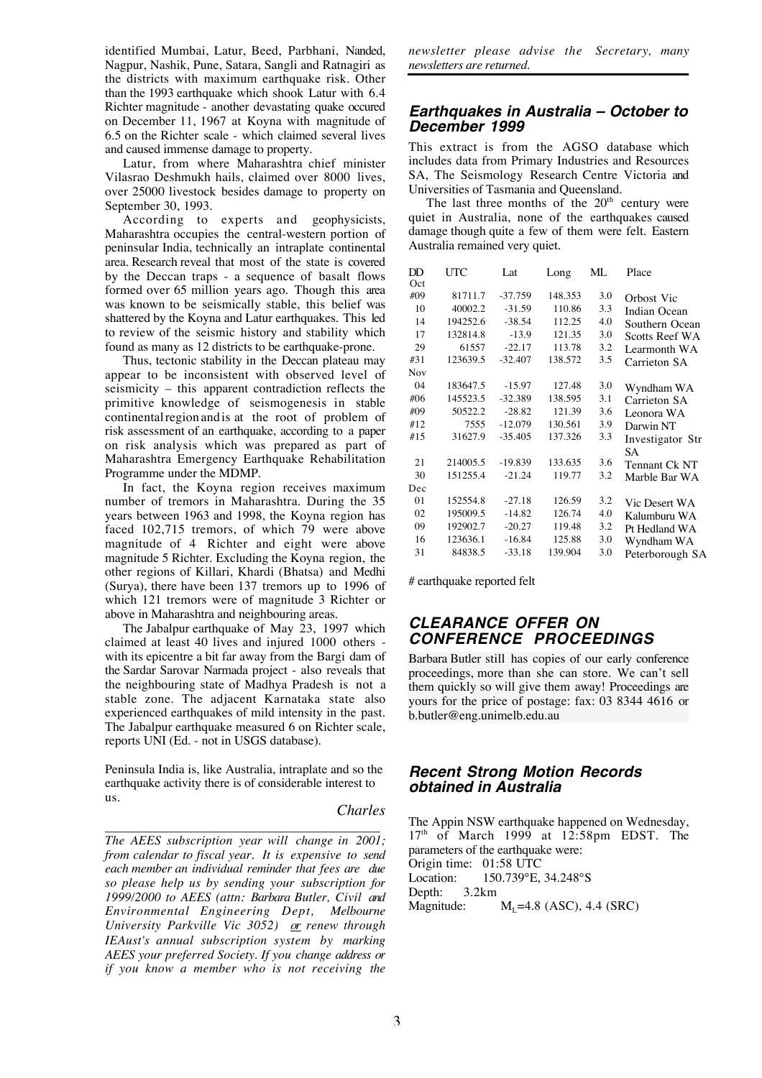identified Mumbai, Latur, Beed, Parbhani, Nanded, Nagpur, Nashik, Pune, Satara, Sangli and Ratnagiri as the districts with maximum earthquake risk. Other than the 1993 earthquake which shook Latur with 6.4 Richter magnitude - another devastating quake occured on December 11, 1967 at Koyna with magnitude of 6.5 on the Richter scale - which claimed several lives and caused immense damage to property.

Latur, from where Maharashtra chief minister Vilasrao Deshmukh hails, claimed over 8000 lives, over 25000 livestock besides damage to property on September 30, 1993.

According to experts and geophysicists, Maharashtra occupies the central-western portion of peninsular India, technically an intraplate continental area. Research reveal that most of the state is covered by the Deccan traps - a sequence of basalt flows formed over 65 million years ago. Though this area was known to be seismically stable, this belief was shattered by the Koyna and Latur earthquakes. This led to review of the seismic history and stability which found as many as 12 districts to be earthquake-prone.

Thus, tectonic stability in the Deccan plateau may appear to be inconsistent with observed level of seismicity – this apparent contradiction reflects the primitive knowledge of seismogenesis in stable continental region and is at the root of problem of risk assessment of an earthquake, according to a paper on risk analysis which was prepared as part of Maharashtra Emergency Earthquake Rehabilitation Programme under the MDMP.

In fact, the Koyna region receives maximum number of tremors in Maharashtra. During the 35 years between 1963 and 1998, the Koyna region has faced 102,715 tremors, of which 79 were above magnitude of 4 Richter and eight were above magnitude 5 Richter. Excluding the Koyna region, the other regions of Killari, Khardi (Bhatsa) and Medhi (Surya), there have been 137 tremors up to 1996 of which 121 tremors were of magnitude 3 Richter or above in Maharashtra and neighbouring areas.

The Jabalpur earthquake of May 23, 1997 which claimed at least 40 lives and injured 1000 others with its epicentre a bit far away from the Bargi dam of the Sardar Sarovar Narmada project - also reveals that the neighbouring state of Madhya Pradesh is not a stable zone. The adjacent Karnataka state also experienced earthquakes of mild intensity in the past. The Jabalpur earthquake measured 6 on Richter scale, reports UNI (Ed. - not in USGS database).

Peninsula India is, like Australia, intraplate and so the earthquake activity there is of considerable interest to us.

#### *Charles*

\_\_\_\_\_\_\_\_\_\_\_\_\_\_\_\_\_\_\_\_\_\_\_\_\_\_\_\_\_\_\_\_\_\_\_\_\_\_\_\_\_\_\_ *The AEES subscription year will change in 2001; from calendar to fiscal year. It is expensive to send each member an individual reminder that fees are due so please help us by sending your subscription for 1999/2000 to AEES (attn: Barbara Butler, Civil and Environmental Engineering Dept, Melbourne University Parkville Vic 3052) or renew through IEAust's annual subscription system by marking AEES your preferred Society. If you change address or if you know a member who is not receiving the*

*newsletter please advise the Secretary, many newsletters are returned.*

#### **Earthquakes in Australia – October to December 1999**

This extract is from the AGSO database which includes data from Primary Industries and Resources SA, The Seismology Research Centre Victoria and Universities of Tasmania and Queensland.

The last three months of the  $20<sup>th</sup>$  century were quiet in Australia, none of the earthquakes caused damage though quite a few of them were felt. Eastern Australia remained very quiet.

| DD  | UTC      | Lat       | Long    | ML  | Place                 |
|-----|----------|-----------|---------|-----|-----------------------|
| Oct |          |           |         |     |                       |
| #09 | 81711.7  | $-37.759$ | 148.353 | 3.0 | Orbost Vic            |
| 10  | 40002.2  | $-31.59$  | 110.86  | 3.3 | Indian Ocean          |
| 14  | 194252.6 | $-38.54$  | 112.25  | 4.0 | Southern Ocean        |
| 17  | 132814.8 | $-13.9$   | 121.35  | 3.0 | <b>Scotts Reef WA</b> |
| 29  | 61557    | $-22.17$  | 113.78  | 3.2 | Learmonth WA          |
| #31 | 123639.5 | $-32.407$ | 138.572 | 3.5 | Carrieton SA          |
| Nov |          |           |         |     |                       |
| 04  | 183647.5 | $-15.97$  | 127.48  | 3.0 | Wyndham WA            |
| #06 | 145523.5 | $-32.389$ | 138.595 | 3.1 | Carrieton SA          |
| #09 | 50522.2  | $-28.82$  | 121.39  | 3.6 | Leonora WA            |
| #12 | 7555     | $-12.079$ | 130.561 | 3.9 | Darwin NT             |
| #15 | 31627.9  | $-35.405$ | 137.326 | 3.3 | Investigator Str      |
|     |          |           |         |     | SА                    |
| 21  | 214005.5 | $-19.839$ | 133.635 | 3.6 | Tennant Ck NT         |
| 30  | 151255.4 | $-21.24$  | 119.77  | 3.2 | Marble Bar WA         |
| Dec |          |           |         |     |                       |
| 01  | 152554.8 | $-27.18$  | 126.59  | 3.2 | Vic Desert WA         |
| 02  | 195009.5 | $-14.82$  | 126.74  | 4.0 | Kalumburu WA          |
| 09  | 192902.7 | $-20.27$  | 119.48  | 3.2 | Pt Hedland WA         |
| 16  | 123636.1 | $-16.84$  | 125.88  | 3.0 | Wyndham WA            |
| 31  | 84838.5  | $-33.18$  | 139.904 | 3.0 | Peterborough SA       |
|     |          |           |         |     |                       |

# earthquake reported felt

## **CLEARANCE OFFER ON CONFERENCE PROCEEDINGS**

Barbara Butler still has copies of our early conference proceedings, more than she can store. We can't sell them quickly so will give them away! Proceedings are yours for the price of postage: fax: 03 8344 4616 or b.butler@eng.unimelb.edu.au

### **Recent Strong Motion Records obtained in Australia**

The Appin NSW earthquake happened on Wednesday,  $17<sup>th</sup>$  of March 1999 at  $12:58 \text{pm}$  EDST. The parameters of the earthquake were: Origin time: 01:58 UTC<br>Location: 150.739°E. Location: 150.739°E, 34.248°S Depth: 3.2km<br>Magnitude:  $M<sub>I</sub> = 4.8$  (ASC), 4.4 (SRC)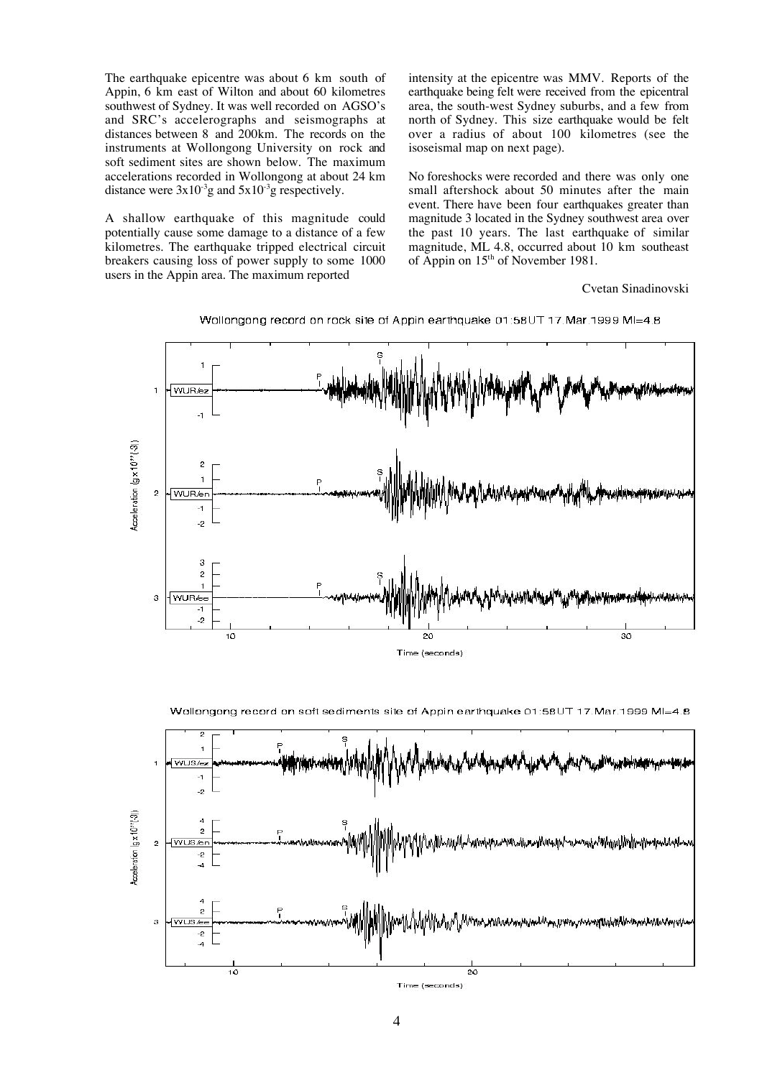The earthquake epicentre was about 6 km south of Appin, 6 km east of Wilton and about 60 kilometres southwest of Sydney. It was well recorded on AGSO's and SRC's accelerographs and seismographs at distances between 8 and 200km. The records on the instruments at Wollongong University on rock and soft sediment sites are shown below. The maximum accelerations recorded in Wollongong at about 24 km distance were  $3x10^{-3}$ g and  $5x10^{-3}$ g respectively.

A shallow earthquake of this magnitude could potentially cause some damage to a distance of a few kilometres. The earthquake tripped electrical circuit breakers causing loss of power supply to some 1000 users in the Appin area. The maximum reported

intensity at the epicentre was MMV. Reports of the earthquake being felt were received from the epicentral area, the south-west Sydney suburbs, and a few from north of Sydney. This size earthquake would be felt over a radius of about 100 kilometres (see the isoseismal map on next page).

No foreshocks were recorded and there was only one small aftershock about 50 minutes after the main event. There have been four earthquakes greater than magnitude 3 located in the Sydney southwest area over the past 10 years. The last earthquake of similar magnitude, ML 4.8, occurred about 10 km southeast of Appin on 15th of November 1981.

Cvetan Sinadinovski



Wollongong record on rock site of Appin earthquake 01:58UT 17.Mar.1999 MI=4.8

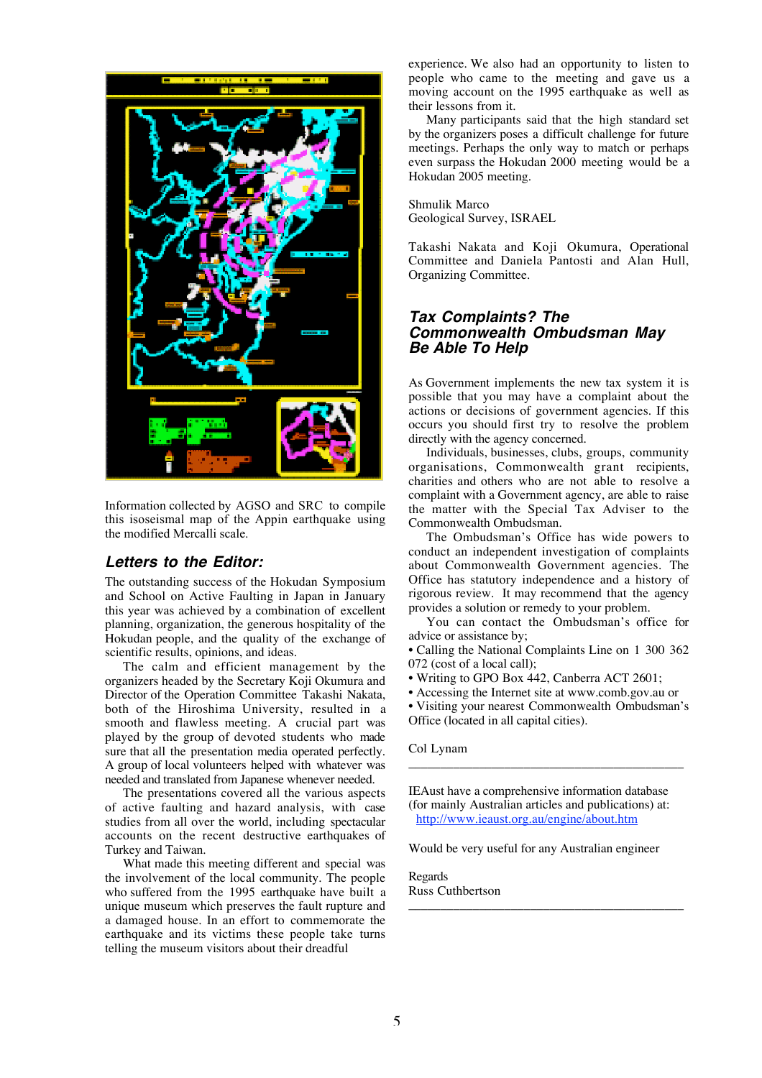

Information collected by AGSO and SRC to compile this isoseismal map of the Appin earthquake using the modified Mercalli scale.

### **Letters to the Editor:**

The outstanding success of the Hokudan Symposium and School on Active Faulting in Japan in January this year was achieved by a combination of excellent planning, organization, the generous hospitality of the Hokudan people, and the quality of the exchange of scientific results, opinions, and ideas.

The calm and efficient management by the organizers headed by the Secretary Koji Okumura and Director of the Operation Committee Takashi Nakata, both of the Hiroshima University, resulted in a smooth and flawless meeting. A crucial part was played by the group of devoted students who made sure that all the presentation media operated perfectly. A group of local volunteers helped with whatever was needed and translated from Japanese whenever needed.

The presentations covered all the various aspects of active faulting and hazard analysis, with case studies from all over the world, including spectacular accounts on the recent destructive earthquakes of Turkey and Taiwan.

What made this meeting different and special was the involvement of the local community. The people who suffered from the 1995 earthquake have built a unique museum which preserves the fault rupture and a damaged house. In an effort to commemorate the earthquake and its victims these people take turns telling the museum visitors about their dreadful

experience. We also had an opportunity to listen to people who came to the meeting and gave us a moving account on the 1995 earthquake as well as their lessons from it.

Many participants said that the high standard set by the organizers poses a difficult challenge for future meetings. Perhaps the only way to match or perhaps even surpass the Hokudan 2000 meeting would be a Hokudan 2005 meeting.

Shmulik Marco Geological Survey, ISRAEL

Takashi Nakata and Koji Okumura, Operational Committee and Daniela Pantosti and Alan Hull, Organizing Committee.

## **Tax Complaints? The Commonwealth Ombudsman May Be Able To Help**

As Government implements the new tax system it is possible that you may have a complaint about the actions or decisions of government agencies. If this occurs you should first try to resolve the problem directly with the agency concerned.

Individuals, businesses, clubs, groups, community organisations, Commonwealth grant recipients, charities and others who are not able to resolve a complaint with a Government agency, are able to raise the matter with the Special Tax Adviser to the Commonwealth Ombudsman.

The Ombudsman's Office has wide powers to conduct an independent investigation of complaints about Commonwealth Government agencies. The Office has statutory independence and a history of rigorous review. It may recommend that the agency provides a solution or remedy to your problem.

You can contact the Ombudsman's office for advice or assistance by;

• Calling the National Complaints Line on 1 300 362 072 (cost of a local call);

• Writing to GPO Box 442, Canberra ACT 2601;

• Accessing the Internet site at www.comb.gov.au or • Visiting your nearest Commonwealth Ombudsman's Office (located in all capital cities).

Col Lynam

IEAust have a comprehensive information database (for mainly Australian articles and publications) at: http://www.ieaust.org.au/engine/about.htm

\_\_\_\_\_\_\_\_\_\_\_\_\_\_\_\_\_\_\_\_\_\_\_\_\_\_\_\_\_\_\_\_\_\_\_\_\_\_\_\_\_\_\_

Would be very useful for any Australian engineer

\_\_\_\_\_\_\_\_\_\_\_\_\_\_\_\_\_\_\_\_\_\_\_\_\_\_\_\_\_\_\_\_\_\_\_\_\_\_\_\_\_\_\_

Regards Russ Cuthbertson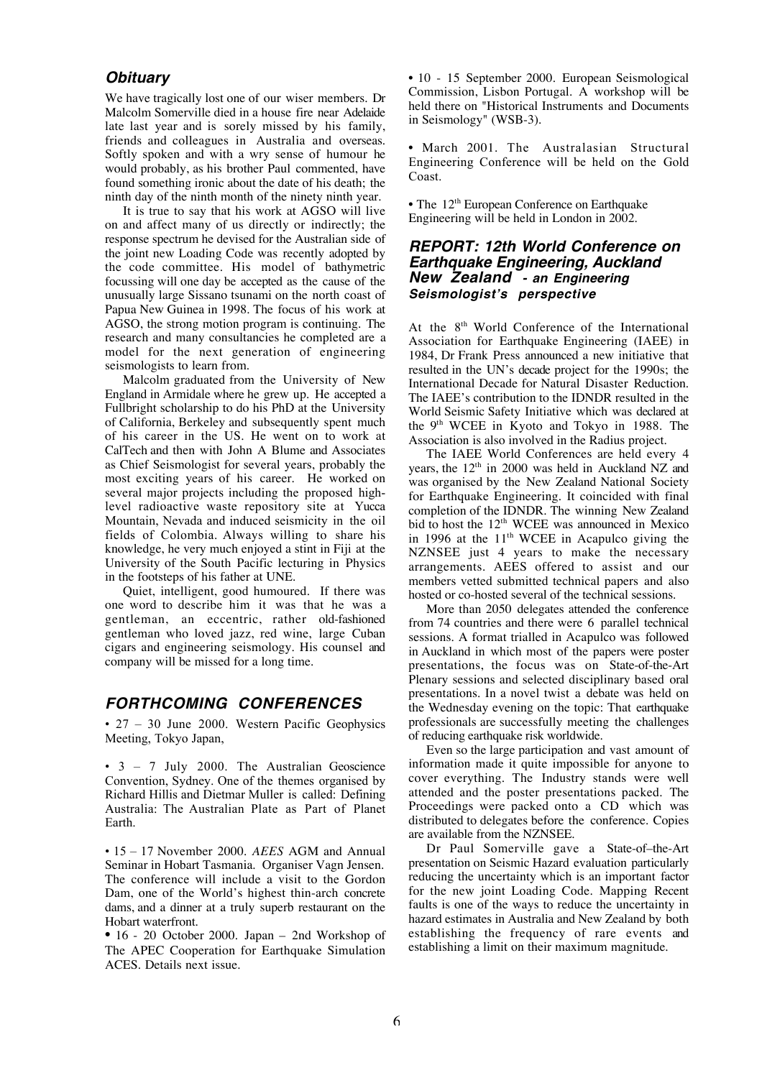## **Obituary**

We have tragically lost one of our wiser members. Dr Malcolm Somerville died in a house fire near Adelaide late last year and is sorely missed by his family, friends and colleagues in Australia and overseas. Softly spoken and with a wry sense of humour he would probably, as his brother Paul commented, have found something ironic about the date of his death; the ninth day of the ninth month of the ninety ninth year.

It is true to say that his work at AGSO will live on and affect many of us directly or indirectly; the response spectrum he devised for the Australian side of the joint new Loading Code was recently adopted by the code committee. His model of bathymetric focussing will one day be accepted as the cause of the unusually large Sissano tsunami on the north coast of Papua New Guinea in 1998. The focus of his work at AGSO, the strong motion program is continuing. The research and many consultancies he completed are a model for the next generation of engineering seismologists to learn from.

Malcolm graduated from the University of New England in Armidale where he grew up. He accepted a Fullbright scholarship to do his PhD at the University of California, Berkeley and subsequently spent much of his career in the US. He went on to work at CalTech and then with John A Blume and Associates as Chief Seismologist for several years, probably the most exciting years of his career. He worked on several major projects including the proposed highlevel radioactive waste repository site at Yucca Mountain, Nevada and induced seismicity in the oil fields of Colombia. Always willing to share his knowledge, he very much enjoyed a stint in Fiji at the University of the South Pacific lecturing in Physics in the footsteps of his father at UNE.

Quiet, intelligent, good humoured. If there was one word to describe him it was that he was a gentleman, an eccentric, rather old-fashioned gentleman who loved jazz, red wine, large Cuban cigars and engineering seismology. His counsel and company will be missed for a long time.

### **FORTHCOMING CONFERENCES**

• 27 – 30 June 2000. Western Pacific Geophysics Meeting, Tokyo Japan,

• 3 – 7 July 2000. The Australian Geoscience Convention, Sydney. One of the themes organised by Richard Hillis and Dietmar Muller is called: Defining Australia: The Australian Plate as Part of Planet Earth.

• 15 – 17 November 2000. *AEES* AGM and Annual Seminar in Hobart Tasmania. Organiser Vagn Jensen. The conference will include a visit to the Gordon Dam, one of the World's highest thin-arch concrete dams, and a dinner at a truly superb restaurant on the Hobart waterfront.

• 16 - 20 October 2000. Japan – 2nd Workshop of The APEC Cooperation for Earthquake Simulation ACES. Details next issue.

• 10 - 15 September 2000. European Seismological Commission, Lisbon Portugal. A workshop will be held there on "Historical Instruments and Documents in Seismology" (WSB-3).

• March 2001. The Australasian Structural Engineering Conference will be held on the Gold Coast.

• The 12<sup>th</sup> European Conference on Earthquake Engineering will be held in London in 2002.

### **REPORT: 12th World Conference on Earthquake Engineering, Auckland New Zealand - an Engineering Seismologist's perspective**

At the 8<sup>th</sup> World Conference of the International Association for Earthquake Engineering (IAEE) in 1984, Dr Frank Press announced a new initiative that resulted in the UN's decade project for the 1990s; the International Decade for Natural Disaster Reduction. The IAEE's contribution to the IDNDR resulted in the World Seismic Safety Initiative which was declared at the 9th WCEE in Kyoto and Tokyo in 1988. The Association is also involved in the Radius project.

The IAEE World Conferences are held every 4 years, the 12<sup>th</sup> in 2000 was held in Auckland NZ and was organised by the New Zealand National Society for Earthquake Engineering. It coincided with final completion of the IDNDR. The winning New Zealand bid to host the 12<sup>th</sup> WCEE was announced in Mexico in 1996 at the  $11<sup>th</sup>$  WCEE in Acapulco giving the NZNSEE just 4 years to make the necessary arrangements. AEES offered to assist and our members vetted submitted technical papers and also hosted or co-hosted several of the technical sessions.

More than 2050 delegates attended the conference from 74 countries and there were 6 parallel technical sessions. A format trialled in Acapulco was followed in Auckland in which most of the papers were poster presentations, the focus was on State-of-the-Art Plenary sessions and selected disciplinary based oral presentations. In a novel twist a debate was held on the Wednesday evening on the topic: That earthquake professionals are successfully meeting the challenges of reducing earthquake risk worldwide.

Even so the large participation and vast amount of information made it quite impossible for anyone to cover everything. The Industry stands were well attended and the poster presentations packed. The Proceedings were packed onto a CD which was distributed to delegates before the conference. Copies are available from the NZNSEE.

Dr Paul Somerville gave a State-of–the-Art presentation on Seismic Hazard evaluation particularly reducing the uncertainty which is an important factor for the new joint Loading Code. Mapping Recent faults is one of the ways to reduce the uncertainty in hazard estimates in Australia and New Zealand by both establishing the frequency of rare events and establishing a limit on their maximum magnitude.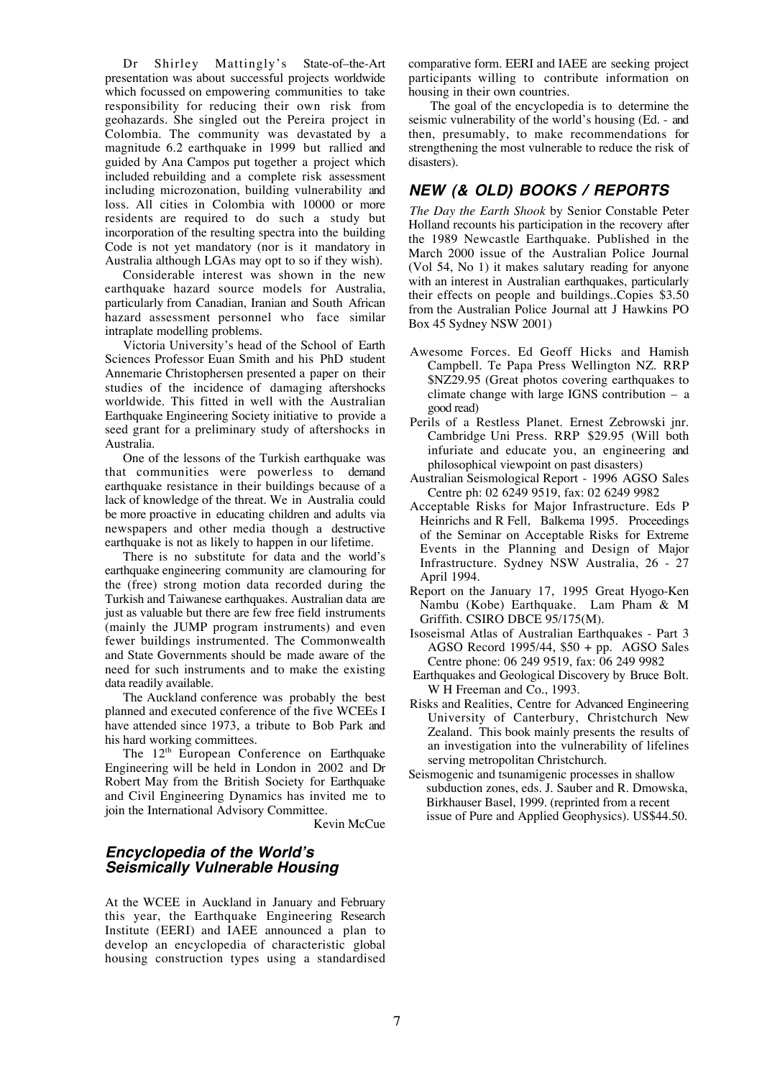Dr Shirley Mattingly's State-of–the-Art presentation was about successful projects worldwide which focussed on empowering communities to take responsibility for reducing their own risk from geohazards. She singled out the Pereira project in Colombia. The community was devastated by a magnitude 6.2 earthquake in 1999 but rallied and guided by Ana Campos put together a project which included rebuilding and a complete risk assessment including microzonation, building vulnerability and loss. All cities in Colombia with 10000 or more residents are required to do such a study but incorporation of the resulting spectra into the building Code is not yet mandatory (nor is it mandatory in Australia although LGAs may opt to so if they wish).

Considerable interest was shown in the new earthquake hazard source models for Australia, particularly from Canadian, Iranian and South African hazard assessment personnel who face similar intraplate modelling problems.

Victoria University's head of the School of Earth Sciences Professor Euan Smith and his PhD student Annemarie Christophersen presented a paper on their studies of the incidence of damaging aftershocks worldwide. This fitted in well with the Australian Earthquake Engineering Society initiative to provide a seed grant for a preliminary study of aftershocks in Australia.

One of the lessons of the Turkish earthquake was that communities were powerless to demand earthquake resistance in their buildings because of a lack of knowledge of the threat. We in Australia could be more proactive in educating children and adults via newspapers and other media though a destructive earthquake is not as likely to happen in our lifetime.

There is no substitute for data and the world's earthquake engineering community are clamouring for the (free) strong motion data recorded during the Turkish and Taiwanese earthquakes. Australian data are just as valuable but there are few free field instruments (mainly the JUMP program instruments) and even fewer buildings instrumented. The Commonwealth and State Governments should be made aware of the need for such instruments and to make the existing data readily available.

The Auckland conference was probably the best planned and executed conference of the five WCEEs I have attended since 1973, a tribute to Bob Park and his hard working committees.

The 12<sup>th</sup> European Conference on Earthquake Engineering will be held in London in 2002 and Dr Robert May from the British Society for Earthquake and Civil Engineering Dynamics has invited me to join the International Advisory Committee.

Kevin McCue

## **Encyclopedia of the World's Seismically Vulnerable Housing**

At the WCEE in Auckland in January and February this year, the Earthquake Engineering Research Institute (EERI) and IAEE announced a plan to develop an encyclopedia of characteristic global housing construction types using a standardised

comparative form. EERI and IAEE are seeking project participants willing to contribute information on housing in their own countries.

The goal of the encyclopedia is to determine the seismic vulnerability of the world's housing (Ed. - and then, presumably, to make recommendations for strengthening the most vulnerable to reduce the risk of disasters).

# **NEW (& OLD) BOOKS / REPORTS**

*The Day the Earth Shook* by Senior Constable Peter Holland recounts his participation in the recovery after the 1989 Newcastle Earthquake. Published in the March 2000 issue of the Australian Police Journal (Vol 54, No 1) it makes salutary reading for anyone with an interest in Australian earthquakes, particularly their effects on people and buildings..Copies \$3.50 from the Australian Police Journal att J Hawkins PO Box 45 Sydney NSW 2001)

- Awesome Forces. Ed Geoff Hicks and Hamish Campbell. Te Papa Press Wellington NZ. RRP \$NZ29.95 (Great photos covering earthquakes to climate change with large IGNS contribution – a good read)
- Perils of a Restless Planet. Ernest Zebrowski jnr. Cambridge Uni Press. RRP \$29.95 (Will both infuriate and educate you, an engineering and philosophical viewpoint on past disasters)
- Australian Seismological Report 1996 AGSO Sales Centre ph: 02 6249 9519, fax: 02 6249 9982
- Acceptable Risks for Major Infrastructure. Eds P Heinrichs and R Fell, Balkema 1995. Proceedings of the Seminar on Acceptable Risks for Extreme Events in the Planning and Design of Major Infrastructure. Sydney NSW Australia, 26 - 27 April 1994.
- Report on the January 17, 1995 Great Hyogo-Ken Nambu (Kobe) Earthquake. Lam Pham & M Griffith. CSIRO DBCE 95/175(M).
- Isoseismal Atlas of Australian Earthquakes Part 3 AGSO Record 1995/44, \$50 + pp. AGSO Sales Centre phone: 06 249 9519, fax: 06 249 9982
- Earthquakes and Geological Discovery by Bruce Bolt. W H Freeman and Co., 1993.
- Risks and Realities, Centre for Advanced Engineering University of Canterbury, Christchurch New Zealand. This book mainly presents the results of an investigation into the vulnerability of lifelines serving metropolitan Christchurch.
- Seismogenic and tsunamigenic processes in shallow subduction zones, eds. J. Sauber and R. Dmowska, Birkhauser Basel, 1999. (reprinted from a recent issue of Pure and Applied Geophysics). US\$44.50.